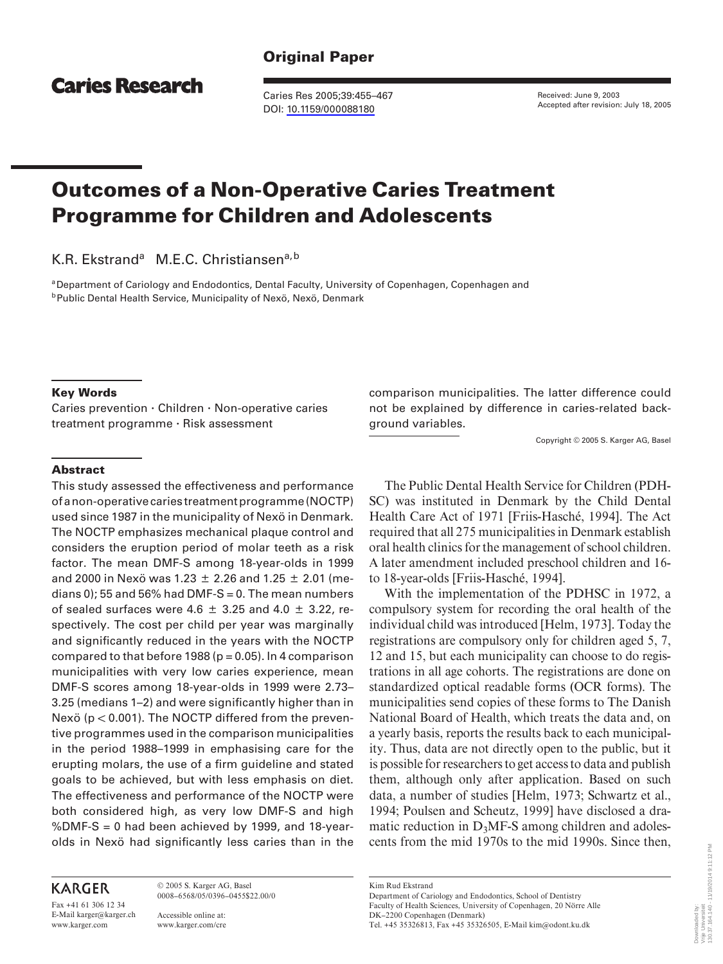# **Caries Research**

Caries Res 2005;39:455–467 DOI: [10.1159/000088180](http://dx.doi.org/10.1159%2F000088180)

Received: June 9, 2003 Accepted after revision: July 18, 2005

# **Outcomes of a Non-Operative Caries Treatment Programme for Children and Adolescents**

K.R. Ekstrand<sup>a</sup> M.E.C. Christiansen<sup>a,b</sup>

<sup>a</sup> Department of Cariology and Endodontics, Dental Faculty, University of Copenhagen, Copenhagen and<br><sup>b</sup> Public Dental Health Service, Municipality of Nexö, Nexö, Denmark

#### **Key Words**

Caries prevention · Children · Non-operative caries treatment programme - Risk assessment

comparison municipalities. The latter difference could not be explained by difference in caries-related background variables.

Copyright © 2005 S. Karger AG, Basel

#### **Abstract**

This study assessed the effectiveness and performance of a non-operative caries treatment programme (NOCTP) used since 1987 in the municipality of Nexö in Denmark. The NOCTP emphasizes mechanical plaque control and considers the eruption period of molar teeth as a risk factor. The mean DMF-S among 18-year-olds in 1999 and 2000 in Nexö was 1.23  $\pm$  2.26 and 1.25  $\pm$  2.01 (medians 0); 55 and 56% had DMF-S = 0. The mean numbers of sealed surfaces were 4.6  $\pm$  3.25 and 4.0  $\pm$  3.22, respectively. The cost per child per year was marginally and significantly reduced in the years with the NOCTP compared to that before 1988 ( $p = 0.05$ ). In 4 comparison municipalities with very low caries experience, mean DMF-S scores among 18-year-olds in 1999 were 2.73– 3.25 (medians 1–2) and were significantly higher than in Nexö ( $p < 0.001$ ). The NOCTP differed from the preventive programmes used in the comparison municipalities in the period 1988–1999 in emphasising care for the erupting molars, the use of a firm guideline and stated goals to be achieved, but with less emphasis on diet. The effectiveness and performance of the NOCTP were both considered high, as very low DMF-S and high %DMF-S = 0 had been achieved by 1999, and 18-yearolds in Nexö had significantly less caries than in the

# **KARGER**

Fax +41 61 306 12 34 E-Mail karger@karger.ch www.karger.com

© 2005 S. Karger AG, Basel 0008–6568/05/0396–0455\$22.00/0 Accessible online at:

www.karger.com/cre

The Public Dental Health Service for Children (PDH-SC) was instituted in Denmark by the Child Dental Health Care Act of 1971 [Friis-Hasché, 1994]. The Act required that all 275 municipalities in Denmark establish oral health clinics for the management of school children. A later amendment included preschool children and 16 to 18-year-olds [Friis-Hasché, 1994].

With the implementation of the PDHSC in 1972, a compulsory system for recording the oral health of the individual child was introduced [Helm, 1973]. Today the registrations are compulsory only for children aged 5, 7, 12 and 15, but each municipality can choose to do registrations in all age cohorts. The registrations are done on standardized optical readable forms (OCR forms). The municipalities send copies of these forms to The Danish National Board of Health, which treats the data and, on a yearly basis, reports the results back to each municipality. Thus, data are not directly open to the public, but it is possible for researchers to get access to data and publish them, although only after application. Based on such data, a number of studies [Helm, 1973; Schwartz et al., 1994; Poulsen and Scheutz, 1999] have disclosed a dramatic reduction in  $D<sub>3</sub>MF-S$  among children and adolescents from the mid 1970s to the mid 1990s. Since then,

Kim Rud Ekstrand

Department of Cariology and Endodontics, School of Dentistry Faculty of Health Sciences, University of Copenhagen, 20 Nörre Alle DK–2200 Copenhagen (Denmark) Tel. +45 35326813, Fax +45 35326505, E-Mail kim@odont.ku.dk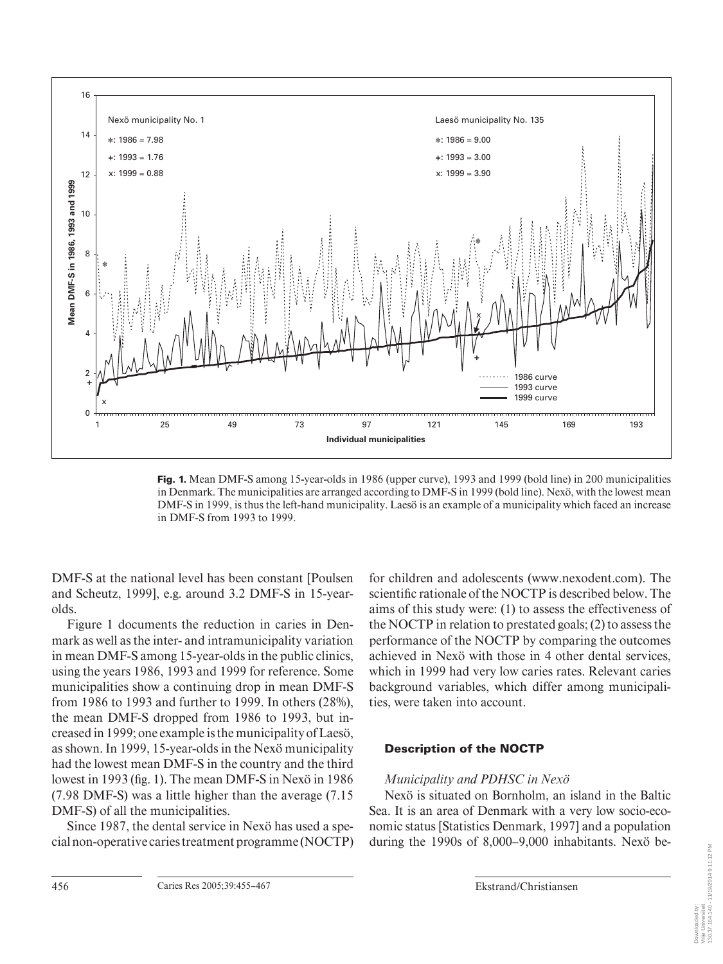

**Fig. 1.** Mean DMF-S among 15-year-olds in 1986 (upper curve), 1993 and 1999 (bold line) in 200 municipalities in Denmark. The municipalities are arranged according to DMF-S in 1999 (bold line). Nexö, with the lowest mean DMF-S in 1999, is thus the left-hand municipality. Laesö is an example of a municipality which faced an increase in DMF-S from 1993 to 1999.

DMF-S at the national level has been constant [Poulsen and Scheutz, 1999], e.g. around 3.2 DMF-S in 15-yearolds.

Figure 1 documents the reduction in caries in Denmark as well as the inter- and intramunicipality variation in mean DMF-S among 15-year-olds in the public clinics, using the years 1986, 1993 and 1999 for reference. Some municipalities show a continuing drop in mean DMF-S from 1986 to 1993 and further to 1999. In others (28%), the mean DMF-S dropped from 1986 to 1993, but increased in 1999; one example is the municipality of Laesö, as shown. In 1999, 15-year-olds in the Nexö municipality had the lowest mean DMF-S in the country and the third lowest in 1993 (fig. 1). The mean DMF-S in Nexö in 1986 (7.98 DMF-S) was a little higher than the average (7.15 DMF-S) of all the municipalities.

Since 1987, the dental service in Nexö has used a special non-operative caries treatment programme (NOCTP) for children and adolescents (www.nexodent.com). The scientific rationale of the NOCTP is described below. The aims of this study were: (1) to assess the effectiveness of the NOCTP in relation to prestated goals; (2) to assess the performance of the NOCTP by comparing the outcomes achieved in Nexö with those in 4 other dental services, which in 1999 had very low caries rates. Relevant caries background variables, which differ among municipalities, were taken into account.

# **Description of the NOCTP**

# *Municipality and PDHSC in Nexö*

Nexö is situated on Bornholm, an island in the Baltic Sea. It is an area of Denmark with a very low socio-economic status [Statistics Denmark, 1997] and a population during the 1990s of 8,000–9,000 inhabitants. Nexö be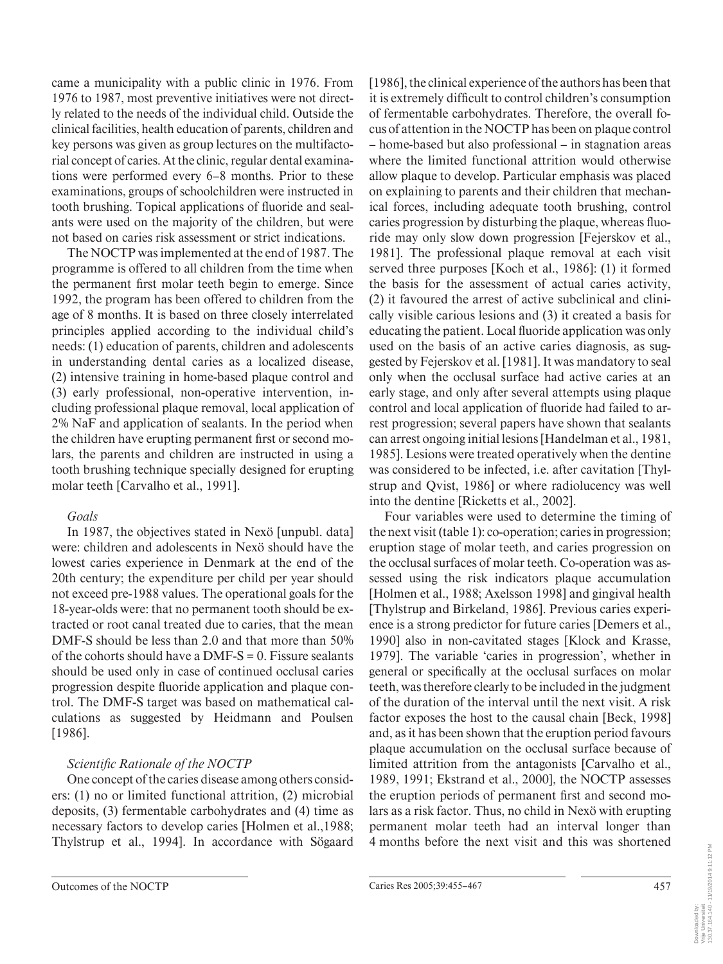came a municipality with a public clinic in 1976. From 1976 to 1987, most preventive initiatives were not directly related to the needs of the individual child. Outside the clinical facilities, health education of parents, children and key persons was given as group lectures on the multifactorial concept of caries. At the clinic, regular dental examinations were performed every 6–8 months. Prior to these examinations, groups of schoolchildren were instructed in tooth brushing. Topical applications of fluoride and sealants were used on the majority of the children, but were not based on caries risk assessment or strict indications.

The NOCTP was implemented at the end of 1987. The programme is offered to all children from the time when the permanent first molar teeth begin to emerge. Since 1992, the program has been offered to children from the age of 8 months. It is based on three closely interrelated principles applied according to the individual child's needs: (1) education of parents, children and adolescents in understanding dental caries as a localized disease, (2) intensive training in home-based plaque control and (3) early professional, non-operative intervention, including professional plaque removal, local application of 2% NaF and application of sealants. In the period when the children have erupting permanent first or second molars, the parents and children are instructed in using a tooth brushing technique specially designed for erupting molar teeth [Carvalho et al., 1991].

# *Goals*

In 1987, the objectives stated in Nexö [unpubl. data] were: children and adolescents in Nexö should have the lowest caries experience in Denmark at the end of the 20th century; the expenditure per child per year should not exceed pre-1988 values. The operational goals for the 18-year-olds were: that no permanent tooth should be extracted or root canal treated due to caries, that the mean DMF-S should be less than 2.0 and that more than 50% of the cohorts should have a DMF-S = 0. Fissure sealants should be used only in case of continued occlusal caries progression despite fluoride application and plaque control. The DMF-S target was based on mathematical calculations as suggested by Heidmann and Poulsen [1986].

# **Scientific Rationale of the NOCTP**

One concept of the caries disease among others considers: (1) no or limited functional attrition, (2) microbial deposits, (3) fermentable carbohydrates and (4) time as necessary factors to develop caries [Holmen et al.,1988; Thylstrup et al., 1994]. In accordance with Sögaard [1986], the clinical experience of the authors has been that it is extremely difficult to control children's consumption of fermentable carbohydrates. Therefore, the overall focus of attention in the NOCTP has been on plaque control – home-based but also professional – in stagnation areas where the limited functional attrition would otherwise allow plaque to develop. Particular emphasis was placed on explaining to parents and their children that mechanical forces, including adequate tooth brushing, control caries progression by disturbing the plaque, whereas fluoride may only slow down progression [Fejerskov et al., 1981]. The professional plaque removal at each visit served three purposes [Koch et al., 1986]: (1) it formed the basis for the assessment of actual caries activity, (2) it favoured the arrest of active subclinical and clinically visible carious lesions and (3) it created a basis for educating the patient. Local fluoride application was only used on the basis of an active caries diagnosis, as suggested by Fejerskov et al. [1981]. It was mandatory to seal only when the occlusal surface had active caries at an early stage, and only after several attempts using plaque control and local application of fluoride had failed to arrest progression; several papers have shown that sealants can arrest ongoing initial lesions [Handelman et al., 1981, 1985]. Lesions were treated operatively when the dentine was considered to be infected, i.e. after cavitation [Thylstrup and Qvist, 1986] or where radiolucency was well into the dentine [Ricketts et al., 2002].

Four variables were used to determine the timing of the next visit (table 1): co-operation; caries in progression; eruption stage of molar teeth, and caries progression on the occlusal surfaces of molar teeth. Co-operation was assessed using the risk indicators plaque accumulation [Holmen et al., 1988; Axelsson 1998] and gingival health [Thylstrup and Birkeland, 1986]. Previous caries experience is a strong predictor for future caries [Demers et al., 1990] also in non-cavitated stages [Klock and Krasse, 1979]. The variable 'caries in progression', whether in general or specifically at the occlusal surfaces on molar teeth, was therefore clearly to be included in the judgment of the duration of the interval until the next visit. A risk factor exposes the host to the causal chain [Beck, 1998] and, as it has been shown that the eruption period favours plaque accumulation on the occlusal surface because of limited attrition from the antagonists [Carvalho et al., 1989, 1991; Ekstrand et al., 2000], the NOCTP assesses the eruption periods of permanent first and second molars as a risk factor. Thus, no child in Nexö with erupting permanent molar teeth had an interval longer than 4 months before the next visit and this was shortened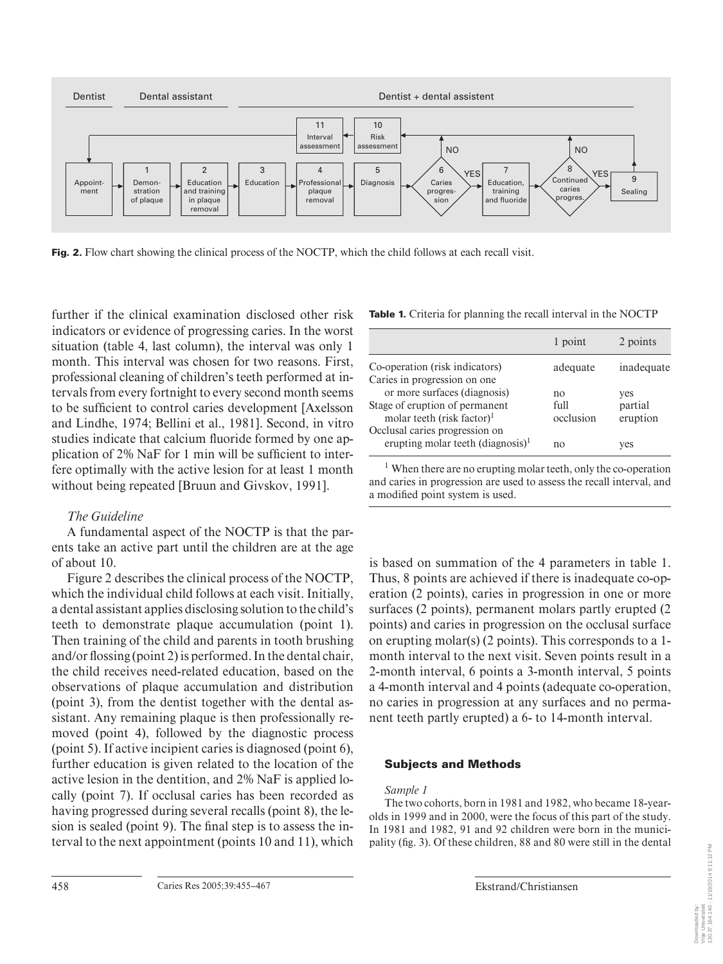

**Fig. 2.** Flow chart showing the clinical process of the NOCTP, which the child follows at each recall visit.

further if the clinical examination disclosed other risk indicators or evidence of progressing caries. In the worst situation (table 4, last column), the interval was only 1 month. This interval was chosen for two reasons. First, professional cleaning of children's teeth performed at intervals from every fortnight to every second month seems to be sufficient to control caries development [Axelsson] and Lindhe, 1974; Bellini et al., 1981]. Second, in vitro studies indicate that calcium fluoride formed by one application of  $2\%$  NaF for 1 min will be sufficient to interfere optimally with the active lesion for at least 1 month without being repeated [Bruun and Givskov, 1991].

# *The Guideline*

A fundamental aspect of the NOCTP is that the parents take an active part until the children are at the age of about 10.

Figure 2 describes the clinical process of the NOCTP, which the individual child follows at each visit. Initially, a dental assistant applies disclosing solution to the child's teeth to demonstrate plaque accumulation (point 1). Then training of the child and parents in tooth brushing and/or flossing (point 2) is performed. In the dental chair, the child receives need-related education, based on the observations of plaque accumulation and distribution (point 3), from the dentist together with the dental assistant. Any remaining plaque is then professionally removed (point 4), followed by the diagnostic process (point 5). If active incipient caries is diagnosed (point 6), further education is given related to the location of the active lesion in the dentition, and 2% NaF is applied locally (point 7). If occlusal caries has been recorded as having progressed during several recalls (point 8), the lesion is sealed (point 9). The final step is to assess the interval to the next appointment (points 10 and 11), which

**Table 1.** Criteria for planning the recall interval in the NOCTP

|                                                                                 | 1 point           | 2 points            |
|---------------------------------------------------------------------------------|-------------------|---------------------|
| Co-operation (risk indicators)                                                  | adequate          | inadequate          |
| Caries in progression on one<br>or more surfaces (diagnosis)                    | no                | yes                 |
| Stage of eruption of permanent<br>molar teeth (risk factor) <sup>1</sup>        | full<br>occlusion | partial<br>eruption |
| Occlusal caries progression on<br>erupting molar teeth (diagnosis) <sup>1</sup> | no                | yes                 |

<sup>1</sup> When there are no erupting molar teeth, only the co-operation and caries in progression are used to assess the recall interval, and a modified point system is used.

is based on summation of the 4 parameters in table 1. Thus, 8 points are achieved if there is inadequate co-operation (2 points), caries in progression in one or more surfaces (2 points), permanent molars partly erupted (2 points) and caries in progression on the occlusal surface on erupting molar(s) (2 points). This corresponds to a 1 month interval to the next visit. Seven points result in a 2-month interval, 6 points a 3-month interval, 5 points a 4-month interval and 4 points (adequate co-operation, no caries in progression at any surfaces and no permanent teeth partly erupted) a 6- to 14-month interval.

# **Subjects and Methods**

# *Sample 1*

The two cohorts, born in 1981 and 1982, who became 18-yearolds in 1999 and in 2000, were the focus of this part of the study. In 1981 and 1982, 91 and 92 children were born in the municipality (fig. 3). Of these children, 88 and 80 were still in the dental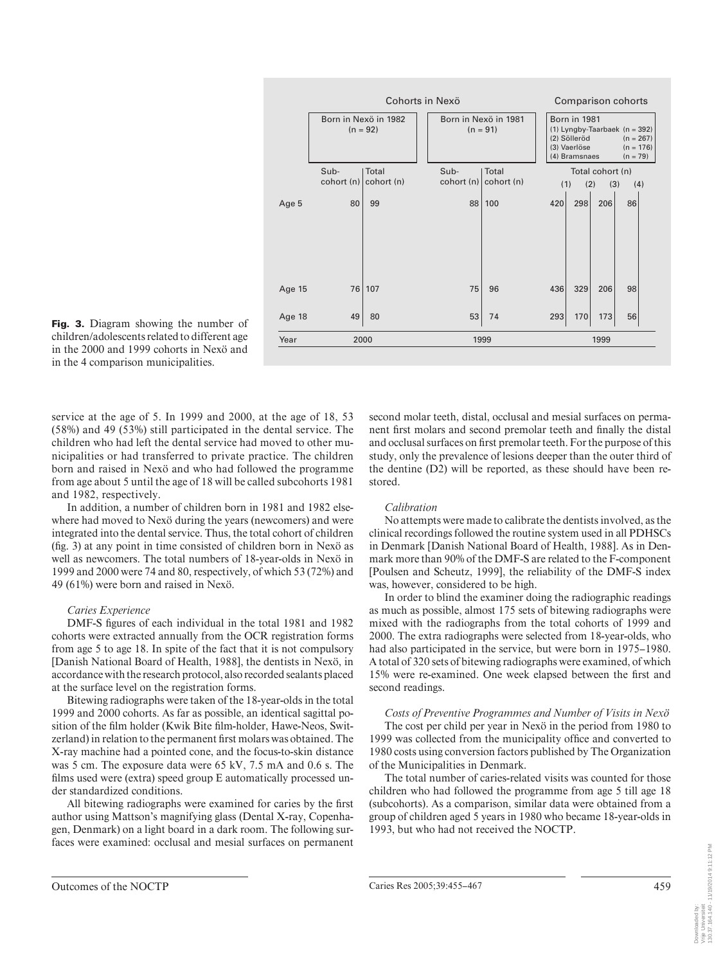

**Fig. 3.** Diagram showing the number of children/adolescents related to different age in the 2000 and 1999 cohorts in Nexö and in the 4 comparison municipalities.

service at the age of 5. In 1999 and 2000, at the age of 18, 53 (58%) and 49 (53%) still participated in the dental service. The children who had left the dental service had moved to other municipalities or had transferred to private practice. The children born and raised in Nexö and who had followed the programme from age about 5 until the age of 18 will be called subcohorts 1981 and 1982, respectively.

In addition, a number of children born in 1981 and 1982 elsewhere had moved to Nexö during the years (newcomers) and were integrated into the dental service. Thus, the total cohort of children  $(f_1, g_2)$  at any point in time consisted of children born in Nexö as well as newcomers. The total numbers of 18-year-olds in Nexö in 1999 and 2000 were 74 and 80, respectively, of which 53 (72%) and 49 (61%) were born and raised in Nexö.

#### *Caries Experience*

DMF-S figures of each individual in the total 1981 and 1982 cohorts were extracted annually from the OCR registration forms from age 5 to age 18. In spite of the fact that it is not compulsory [Danish National Board of Health, 1988], the dentists in Nexö, in accordance with the research protocol, also recorded sealants placed at the surface level on the registration forms.

Bitewing radiographs were taken of the 18-year-olds in the total 1999 and 2000 cohorts. As far as possible, an identical sagittal position of the film holder (Kwik Bite film-holder, Hawe-Neos, Switzerland) in relation to the permanent first molars was obtained. The X-ray machine had a pointed cone, and the focus-to-skin distance was 5 cm. The exposure data were 65 kV, 7.5 mA and 0.6 s. The films used were (extra) speed group E automatically processed under standardized conditions.

All bitewing radiographs were examined for caries by the first author using Mattson's magnifying glass (Dental X-ray, Copenhagen, Denmark) on a light board in a dark room. The following surfaces were examined: occlusal and mesial surfaces on permanent second molar teeth, distal, occlusal and mesial surfaces on permanent first molars and second premolar teeth and finally the distal and occlusal surfaces on first premolar teeth. For the purpose of this study, only the prevalence of lesions deeper than the outer third of the dentine (D2) will be reported, as these should have been restored.

#### *Calibration*

No attempts were made to calibrate the dentists involved, as the clinical recordings followed the routine system used in all PDHSCs in Denmark [Danish National Board of Health, 1988]. As in Denmark more than 90% of the DMF-S are related to the F-component [Poulsen and Scheutz, 1999], the reliability of the DMF-S index was, however, considered to be high.

In order to blind the examiner doing the radiographic readings as much as possible, almost 175 sets of bitewing radiographs were mixed with the radiographs from the total cohorts of 1999 and 2000. The extra radiographs were selected from 18-year-olds, who had also participated in the service, but were born in 1975–1980. A total of 320 sets of bitewing radiographs were examined, of which 15% were re-examined. One week elapsed between the first and second readings.

*Costs of Preventive Programmes and Number of Visits in Nexö*  The cost per child per year in Nexö in the period from 1980 to 1999 was collected from the municipality office and converted to 1980 costs using conversion factors published by The Organization of the Municipalities in Denmark.

The total number of caries-related visits was counted for those children who had followed the programme from age 5 till age 18 (subcohorts). As a comparison, similar data were obtained from a group of children aged 5 years in 1980 who became 18-year-olds in 1993, but who had not received the NOCTP.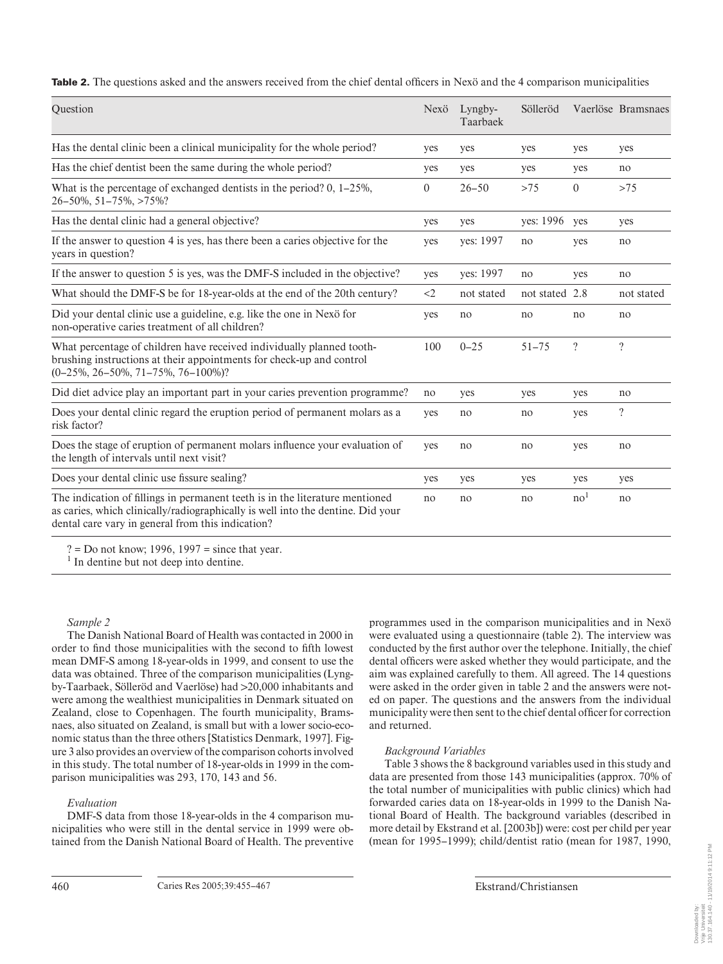**Table 2.** The questions asked and the answers received from the chief dental officers in Nexö and the 4 comparison municipalities

| Question                                                                                                                                                                                                             | Nexö  | Lyngby-<br>Taarbaek | Sölleröd       |                 | Vaerlöse Bramsnaes |
|----------------------------------------------------------------------------------------------------------------------------------------------------------------------------------------------------------------------|-------|---------------------|----------------|-----------------|--------------------|
| Has the dental clinic been a clinical municipality for the whole period?                                                                                                                                             | yes   | yes                 | yes            | yes             | yes                |
| Has the chief dentist been the same during the whole period?                                                                                                                                                         | yes   | yes                 | yes            | yes             | no                 |
| What is the percentage of exchanged dentists in the period? $0, 1-25\%$ ,<br>26-50%, 51-75%, >75%?                                                                                                                   |       | $26 - 50$           | >75            | $\theta$        | >75                |
| Has the dental clinic had a general objective?                                                                                                                                                                       | yes   | yes                 | yes: 1996      | yes             | yes                |
| If the answer to question 4 is yes, has there been a caries objective for the<br>years in question?                                                                                                                  |       | ves: 1997           | no             | yes             | no                 |
| If the answer to question 5 is yes, was the DMF-S included in the objective?                                                                                                                                         | yes   | yes: 1997           | no             | yes             | no                 |
| What should the DMF-S be for 18-year-olds at the end of the 20th century?                                                                                                                                            | $<$ 2 | not stated          | not stated 2.8 |                 | not stated         |
| Did your dental clinic use a guideline, e.g. like the one in Nexö for<br>non-operative caries treatment of all children?                                                                                             | yes   | no                  | no             | no              | no                 |
| What percentage of children have received individually planned tooth-<br>brushing instructions at their appointments for check-up and control<br>$(0-25\%, 26-50\%, 71-75\%, 76-100\%)?$                             | 100   | $0 - 25$            | $51 - 75$      | $\ddot{?}$      | $\gamma$           |
| Did diet advice play an important part in your caries prevention programme?                                                                                                                                          | no    | yes                 | yes            | yes             | no                 |
| Does your dental clinic regard the eruption period of permanent molars as a<br>risk factor?                                                                                                                          | yes   | no                  | no             | yes             | $\ddot{?}$         |
| Does the stage of eruption of permanent molars influence your evaluation of<br>the length of intervals until next visit?                                                                                             | yes   | no                  | no             | yes             | no                 |
| Does your dental clinic use fissure sealing?                                                                                                                                                                         | yes   | yes                 | yes            | yes             | yes                |
| The indication of fillings in permanent teeth is in the literature mentioned<br>as caries, which clinically/radiographically is well into the dentine. Did your<br>dental care vary in general from this indication? | no    | no                  | no             | no <sup>1</sup> | no                 |

 $? = Do$  not know; 1996, 1997 = since that year.

<sup>1</sup> In dentine but not deep into dentine.

#### *Sample 2*

The Danish National Board of Health was contacted in 2000 in order to find those municipalities with the second to fifth lowest mean DMF-S among 18-year-olds in 1999, and consent to use the data was obtained. Three of the comparison municipalities (Lyngby-Taarbaek, Sölleröd and Vaerlöse) had 1 20,000 inhabitants and were among the wealthiest municipalities in Denmark situated on Zealand, close to Copenhagen. The fourth municipality, Bramsnaes, also situated on Zealand, is small but with a lower socio-economic status than the three others [Statistics Denmark, 1997]. Figure 3also provides an overview of the comparison cohorts involved in this study. The total number of 18-year-olds in 1999 in the comparison municipalities was 293, 170, 143 and 56.

#### *Evaluation*

DMF-S data from those 18-year-olds in the 4 comparison municipalities who were still in the dental service in 1999 were obtained from the Danish National Board of Health. The preventive programmes used in the comparison municipalities and in Nexö were evaluated using a questionnaire (table 2). The interview was conducted by the first author over the telephone. Initially, the chief dental officers were asked whether they would participate, and the aim was explained carefully to them. All agreed. The 14 questions were asked in the order given in table 2 and the answers were noted on paper. The questions and the answers from the individual municipality were then sent to the chief dental officer for correction and returned.

# *Background Variables*

Table 3 shows the 8 background variables used in this study and data are presented from those 143 municipalities (approx. 70% of the total number of municipalities with public clinics) which had forwarded caries data on 18-year-olds in 1999 to the Danish National Board of Health. The background variables (described in more detail by Ekstrand et al. [2003b]) were: cost per child per year (mean for 1995–1999); child/dentist ratio(mean for 1987, 1990,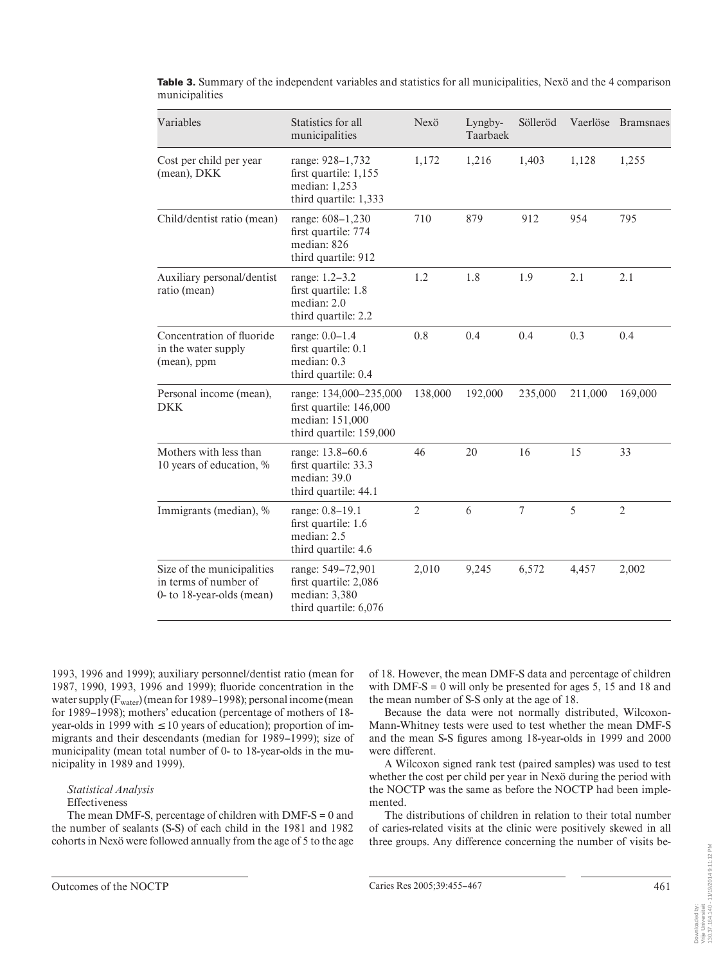| Variables                                                                        | Statistics for all<br>municipalities                                                            | Nexö           | Lyngby-<br>Taarbaek | Sölleröd       |         | Vaerlöse Bramsnaes |
|----------------------------------------------------------------------------------|-------------------------------------------------------------------------------------------------|----------------|---------------------|----------------|---------|--------------------|
| Cost per child per year<br>(mean), DKK                                           | range: 928-1,732<br>first quartile: 1,155<br>median: 1,253<br>third quartile: 1,333             | 1,172          | 1,216               | 1,403          | 1,128   | 1,255              |
| Child/dentist ratio (mean)                                                       | range: 608-1,230<br>first quartile: 774<br>median: 826<br>third quartile: 912                   | 710            | 879                 | 912            | 954     | 795                |
| Auxiliary personal/dentist<br>ratio (mean)                                       | range: 1.2–3.2<br>first quartile: 1.8<br>median: 2.0<br>third quartile: 2.2                     | $1.2\,$        | 1.8                 | 1.9            | 2.1     | 2.1                |
| Concentration of fluoride<br>in the water supply<br>(mean), ppm                  | range: 0.0-1.4<br>first quartile: 0.1<br>median: 0.3<br>third quartile: 0.4                     | 0.8            | 0.4                 | 0.4            | 0.3     | 0.4                |
| Personal income (mean),<br><b>DKK</b>                                            | range: 134,000-235,000<br>first quartile: 146,000<br>median: 151,000<br>third quartile: 159,000 | 138,000        | 192,000             | 235,000        | 211,000 | 169,000            |
| Mothers with less than<br>10 years of education, %                               | range: 13.8–60.6<br>first quartile: 33.3<br>median: 39.0<br>third quartile: 44.1                | 46             | 20                  | 16             | 15      | 33                 |
| Immigrants (median), %                                                           | range: 0.8-19.1<br>first quartile: 1.6<br>median: 2.5<br>third quartile: 4.6                    | $\overline{2}$ | 6                   | $\overline{7}$ | 5       | $\overline{2}$     |
| Size of the municipalities<br>in terms of number of<br>0- to 18-year-olds (mean) | range: 549-72,901<br>first quartile: 2,086<br>median: 3,380<br>third quartile: 6,076            | 2,010          | 9,245               | 6,572          | 4.457   | 2,002              |

**Table 3.** Summary of the independent variables and statistics for all municipalities, Nexö and the 4 comparison municipalities

1993, 1996 and 1999); auxiliary personnel/dentist ratio(mean for 1987, 1990, 1993, 1996 and 1999); fluoride concentration in the water supply(Fwater )(mean for 1989–1998); personal income(mean for 1989–1998); mothers' education (percentage of mothers of 18 year-olds in 1999 with  $\leq 10$  years of education); proportion of immigrants and their descendants (median for 1989–1999); size of municipality (mean total number of 0- to 18-year-olds in the municipality in 1989 and 1999).

*Statistical Analysis* 

#### Effectiveness

The mean DMF-S, percentage of children with DMF-S = 0 and the number of sealants (S-S) of each child in the 1981 and 1982 cohorts in Nexö were followed annually from the age of 5 to the age of 18. However, the mean DMF-S data and percentage of children with DMF-S = 0 will only be presented for ages 5, 15 and 18 and the mean number of S-S only at the age of 18.

Because the data were not normally distributed, Wilcoxon-Mann-Whitney tests were used to test whether the mean DMF-S and the mean S-S figures among 18-year-olds in 1999 and 2000 were different.

A Wilcoxon signed rank test (paired samples) was used to test whether the cost per child per year in Nexö during the period with the NOCTP was the same as before the NOCTP had been implemented.

The distributions of children in relation to their total number of caries-related visits at the clinic were positively skewed in all three groups. Any difference concerning the number of visits be-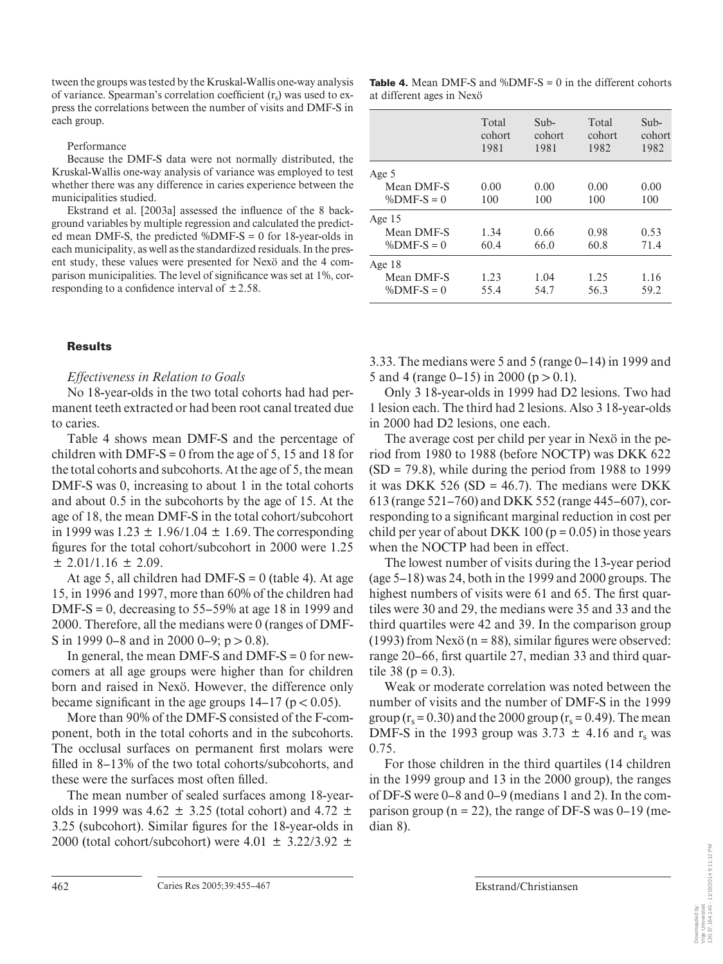tween the groups was tested by the Kruskal-Wallis one-way analysis of variance. Spearman's correlation coefficient  $(r<sub>s</sub>)$  was used to express the correlations between the number of visits and DMF-S in each group.

Performance

Because the DMF-S data were not normally distributed, the Kruskal-Wallis one-way analysis of variance was employed to test whether there was any difference in caries experience between the municipalities studied.

Ekstrand et al. [2003a] assessed the influence of the 8 background variables by multiple regression and calculated the predicted mean DMF-S, the predicted  $\%$ DMF-S = 0 for 18-year-olds in each municipality, as well as the standardized residuals. In the present study, these values were presented for Nexö and the 4 comparison municipalities. The level of significance was set at 1%, corresponding to a confidence interval of  $\pm 2.58$ .

## **Results**

## *Effectiveness in Relation to Goals*

No 18-year-olds in the two total cohorts had had permanent teeth extracted or had been root canal treated due to caries.

Table 4 shows mean DMF-S and the percentage of children with DMF-S = 0 from the age of 5, 15 and 18 for the total cohorts and subcohorts. At the age of 5, the mean DMF-S was 0, increasing to about 1 in the total cohorts and about 0.5 in the subcohorts by the age of 15. At the age of 18, the mean DMF-S in the total cohort/subcohort in 1999 was  $1.23 \pm 1.96/1.04 \pm 1.69$ . The corresponding figures for the total cohort/subcohort in 2000 were 1.25  $\pm$  2.01/1.16  $\pm$  2.09.

At age 5, all children had DMF-S =  $0$  (table 4). At age 15, in 1996 and 1997, more than 60% of the children had DMF-S = 0, decreasing to  $55-59\%$  at age 18 in 1999 and 2000. Therefore, all the medians were 0 (ranges of DMF-S in 1999 0–8 and in 2000 0–9;  $p > 0.8$ ).

In general, the mean DMF-S and DMF-S  $= 0$  for newcomers at all age groups were higher than for children born and raised in Nexö. However, the difference only became significant in the age groups  $14-17$  ( $p < 0.05$ ).

More than 90% of the DMF-S consisted of the F-component, both in the total cohorts and in the subcohorts. The occlusal surfaces on permanent first molars were filled in 8–13% of the two total cohorts/subcohorts, and these were the surfaces most often filled.

The mean number of sealed surfaces among 18-yearolds in 1999 was 4.62  $\pm$  3.25 (total cohort) and 4.72  $\pm$ 3.25 (subcohort). Similar figures for the 18-year-olds in 2000 (total cohort/subcohort) were  $4.01 \pm 3.22/3.92 \pm 1.01$ 

**Table 4.** Mean DMF-S and %DMF-S = 0 in the different cohorts at different ages in Nexö

|              | Total<br>cohort<br>1981 | Sub-<br>cohort<br>1981 | Total<br>cohort<br>1982 | Sub-<br>cohort<br>1982 |
|--------------|-------------------------|------------------------|-------------------------|------------------------|
| Age 5        |                         |                        |                         |                        |
| Mean DMF-S   | 0.00                    | 0.00                   | 0.00                    | 0.00                   |
| $%DMF-S = 0$ | 100                     | 100                    | 100                     | 100                    |
| Age $15$     |                         |                        |                         |                        |
| Mean DMF-S   | 1.34                    | 0.66                   | 0.98                    | 0.53                   |
| $%DMF-S = 0$ | 60.4                    | 66.0                   | 60.8                    | 71.4                   |
| Age $18$     |                         |                        |                         |                        |
| Mean DMF-S   | 1.23                    | 1.04                   | 1.25                    | 1.16                   |
| $%DMF-S = 0$ | 55.4                    | 54.7                   | 56.3                    | 59.2                   |

3.33. The medians were 5 and 5 (range 0–14) in 1999 and 5 and 4 (range 0–15) in 2000 ( $p > 0.1$ ).

Only 3 18-year-olds in 1999 had D2 lesions. Two had 1 lesion each. The third had 2 lesions. Also 3 18-year-olds in 2000 had D2 lesions, one each.

The average cost per child per year in Nexö in the period from 1980 to 1988 (before NOCTP) was DKK 622  $(SD = 79.8)$ , while during the period from 1988 to 1999 it was DKK 526 (SD = 46.7). The medians were DKK 613 (range 521–760) and DKK 552 (range 445–607), corresponding to a significant marginal reduction in cost per child per year of about DKK 100 ( $p = 0.05$ ) in those years when the NOCTP had been in effect.

The lowest number of visits during the 13-year period (age 5–18) was 24, both in the 1999 and 2000 groups. The highest numbers of visits were 61 and 65. The first quartiles were 30 and 29, the medians were 35 and 33 and the third quartiles were 42 and 39. In the comparison group (1993) from Nexö ( $n = 88$ ), similar figures were observed: range 20–66, first quartile 27, median 33 and third quartile  $38 (p = 0.3)$ .

Weak or moderate correlation was noted between the number of visits and the number of DMF-S in the 1999 group ( $r_s$  = 0.30) and the 2000 group ( $r_s$  = 0.49). The mean DMF-S in the 1993 group was  $3.73 \pm 4.16$  and r<sub>s</sub> was 0.75.

For those children in the third quartiles (14 children in the 1999 group and 13 in the 2000 group), the ranges of DF-S were 0–8 and 0–9 (medians 1 and 2). In the comparison group ( $n = 22$ ), the range of DF-S was 0–19 (median 8).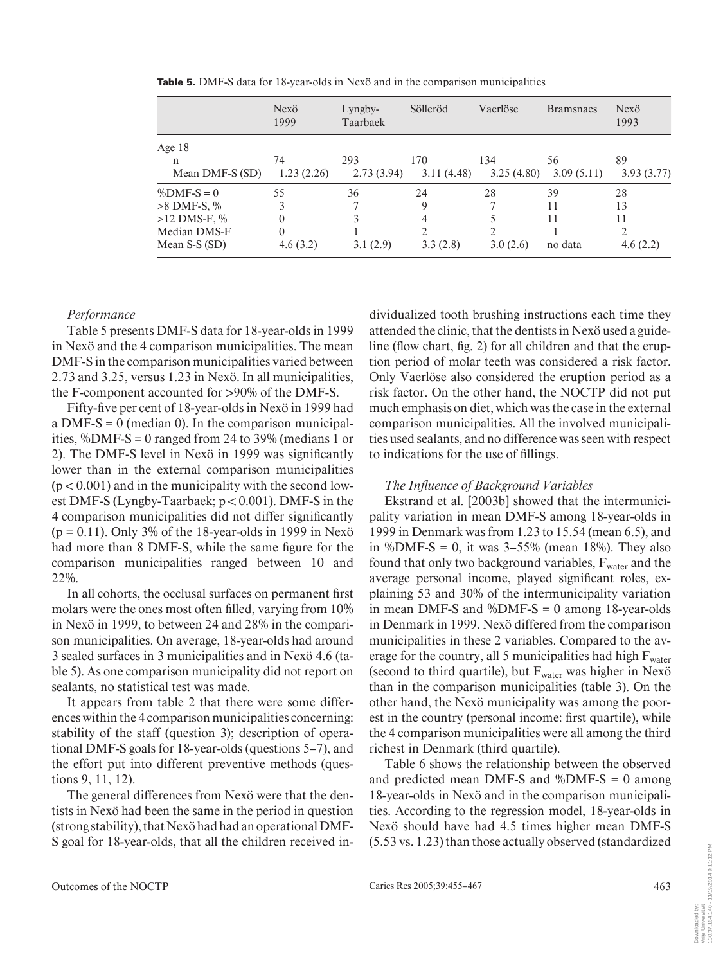|                 | Nexö<br>1999 | Lyngby-<br>Taarbaek | Sölleröd   | Vaerlöse   | <b>Bramsnaes</b> | Nexö<br>1993 |
|-----------------|--------------|---------------------|------------|------------|------------------|--------------|
| Age $18$        |              |                     |            |            |                  |              |
| n               | 74           | 293                 | 170        | 134        | 56               | 89           |
| Mean DMF-S (SD) | 1.23(2.26)   | 2.73(3.94)          | 3.11(4.48) | 3.25(4.80) | 3.09(5.11)       | 3.93(3.77)   |
| $%DMF-S = 0$    | 55           | 36                  | 24         | 28         | 39               | 28           |
| $>8$ DMF-S, %   | 3            |                     | 9          |            | 11               | 13           |
| $>12$ DMS-F, %  | $\Omega$     | 3                   | 4          |            | 11               | 11           |
| Median DMS-F    | $\Omega$     |                     | C.         | ↑          |                  | $\gamma$     |
| Mean S-S (SD)   | 4.6(3.2)     | 3.1(2.9)            | 3.3(2.8)   | 3.0(2.6)   | no data          | 4.6(2.2)     |

**Table 5.** DMF-S data for 18-year-olds in Nexö and in the comparison municipalities

# *Performance*

Table 5 presents DMF-S data for 18-year-olds in 1999 in Nexö and the 4 comparison municipalities. The mean DMF-S in the comparison municipalities varied between 2.73 and 3.25, versus 1.23 in Nexö. In all municipalities, the F-component accounted for  $>90\%$  of the DMF-S.

Fifty-five per cent of 18-year-olds in Nexö in 1999 had a DMF-S = 0 (median 0). In the comparison municipalities, %DMF-S = 0 ranged from 24 to 39% (medians 1 or 2). The DMF-S level in Nexö in 1999 was significantly lower than in the external comparison municipalities  $(p < 0.001)$  and in the municipality with the second lowest DMF-S (Lyngby-Taarbaek;  $p < 0.001$ ). DMF-S in the 4 comparison municipalities did not differ significantly  $(p = 0.11)$ . Only 3% of the 18-year-olds in 1999 in Nexö had more than 8 DMF-S, while the same figure for the comparison municipalities ranged between 10 and 22%.

In all cohorts, the occlusal surfaces on permanent first molars were the ones most often filled, varying from  $10\%$ in Nexö in 1999, to between 24 and 28% in the comparison municipalities. On average, 18-year-olds had around 3 sealed surfaces in 3 municipalities and in Nexö 4.6 ( table 5). As one comparison municipality did not report on sealants, no statistical test was made.

It appears from table 2 that there were some differences within the 4 comparison municipalities concerning: stability of the staff (question 3); description of operational DMF-S goals for 18-year-olds (questions 5–7), and the effort put into different preventive methods (questions 9, 11, 12).

The general differences from Nexö were that the dentists in Nexö had been the same in the period in question (strong stability), that Nexö had had an operational DMF-S goal for 18-year-olds, that all the children received individualized tooth brushing instructions each time they attended the clinic, that the dentists in Nexö used a guideline (flow chart, fig. 2) for all children and that the eruption period of molar teeth was considered a risk factor. Only Vaerlöse also considered the eruption period as a risk factor. On the other hand, the NOCTP did not put much emphasis on diet, which was the case in the external comparison municipalities. All the involved municipalities used sealants, and no difference was seen with respect to indications for the use of fillings.

# **The Influence of Background Variables**

Ekstrand et al. [2003b] showed that the intermunicipality variation in mean DMF-S among 18-year-olds in 1999 in Denmark was from 1.23 to 15.54 (mean 6.5), and in %DMF-S = 0, it was  $3-55%$  (mean 18%). They also found that only two background variables,  $F_{water}$  and the average personal income, played significant roles, explaining 53 and 30% of the intermunicipality variation in mean DMF-S and  $%$ DMF-S = 0 among 18-year-olds in Denmark in 1999. Nexö differed from the comparison municipalities in these 2 variables. Compared to the average for the country, all 5 municipalities had high  $F<sub>water</sub>$ (second to third quartile), but  $F<sub>water</sub>$  was higher in Nexö than in the comparison municipalities (table 3). On the other hand, the Nexö municipality was among the poorest in the country (personal income: first quartile), while the 4 comparison municipalities were all among the third richest in Denmark (third quartile).

Table 6 shows the relationship between the observed and predicted mean DMF-S and  $%$ DMF-S = 0 among 18-year-olds in Nexö and in the comparison municipalities. According to the regression model, 18-year-olds in Nexö should have had 4.5 times higher mean DMF-S (5.53 vs. 1.23) than those actually observed (standardized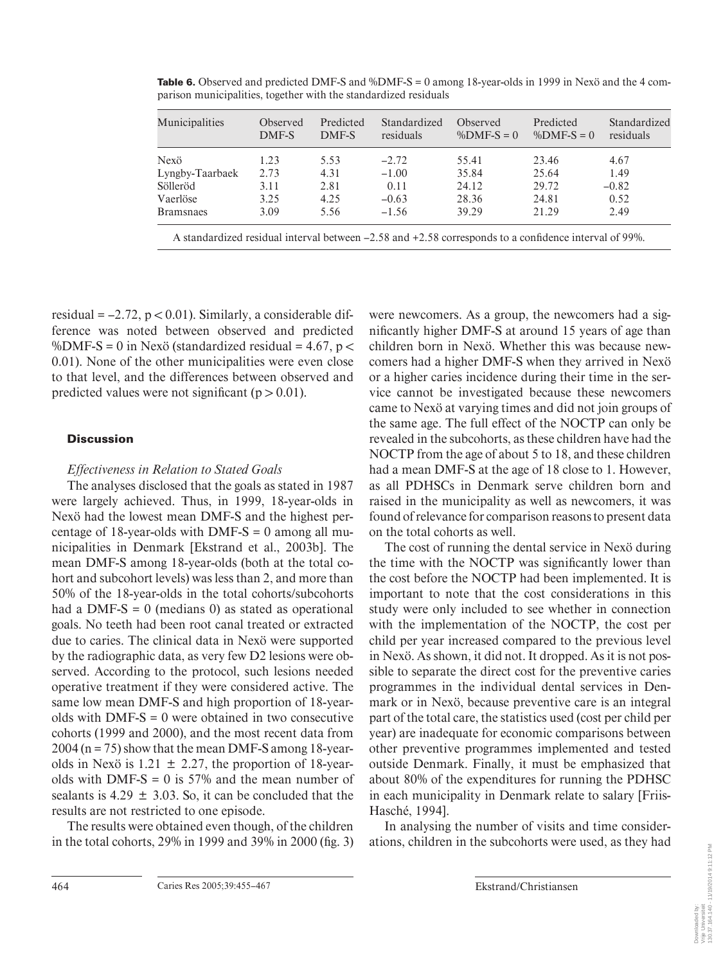| 4.67    |
|---------|
| 1.49    |
| $-0.82$ |
| 0.52    |
| 2.49    |
|         |

**Table 6.** Observed and predicted DMF-S and %DMF-S = 0 among 18-year-olds in 1999 in Nexö and the 4 comparison municipalities, together with the standardized residuals

A standardized residual interval between  $-2.58$  and  $+2.58$  corresponds to a confidence interval of 99%.

residual  $= -2.72$ ,  $p < 0.01$ ). Similarly, a considerable difference was noted between observed and predicted %DMF-S = 0 in Nexö (standardized residual = 4.67,  $p <$ 0.01). None of the other municipalities were even close to that level, and the differences between observed and predicted values were not significant ( $p > 0.01$ ).

## **Discussion**

## *Effectiveness in Relation to Stated Goals*

The analyses disclosed that the goals as stated in 1987 were largely achieved. Thus, in 1999, 18-year-olds in Nexö had the lowest mean DMF-S and the highest percentage of 18-year-olds with DMF-S  $= 0$  among all municipalities in Denmark [Ekstrand et al., 2003b]. The mean DMF-S among 18-year-olds (both at the total cohort and subcohort levels) was less than 2, and more than 50% of the 18-year-olds in the total cohorts/subcohorts had a DMF-S =  $\theta$  (medians  $\theta$ ) as stated as operational goals. No teeth had been root canal treated or extracted due to caries. The clinical data in Nexö were supported by the radiographic data, as very few D2 lesions were observed. According to the protocol, such lesions needed operative treatment if they were considered active. The same low mean DMF-S and high proportion of 18-yearolds with  $DMF-S = 0$  were obtained in two consecutive cohorts (1999 and 2000), and the most recent data from 2004 (n = 75) show that the mean DMF-S among 18-yearolds in Nexö is 1.21  $\pm$  2.27, the proportion of 18-yearolds with DMF-S = 0 is  $57\%$  and the mean number of sealants is  $4.29 \pm 3.03$ . So, it can be concluded that the results are not restricted to one episode.

The results were obtained even though, of the children in the total cohorts,  $29\%$  in 1999 and  $39\%$  in  $2000$  (fig. 3) were newcomers. As a group, the newcomers had a significantly higher DMF-S at around 15 years of age than children born in Nexö. Whether this was because newcomers had a higher DMF-S when they arrived in Nexö or a higher caries incidence during their time in the service cannot be investigated because these newcomers came to Nexö at varying times and did not join groups of the same age. The full effect of the NOCTP can only be revealed in the subcohorts, as these children have had the NOCTP from the age of about 5 to 18, and these children had a mean DMF-S at the age of 18 close to 1. However, as all PDHSCs in Denmark serve children born and raised in the municipality as well as newcomers, it was found of relevance for comparison reasons to present data on the total cohorts as well.

The cost of running the dental service in Nexö during the time with the NOCTP was significantly lower than the cost before the NOCTP had been implemented. It is important to note that the cost considerations in this study were only included to see whether in connection with the implementation of the NOCTP, the cost per child per year increased compared to the previous level in Nexö. As shown, it did not. It dropped. As it is not possible to separate the direct cost for the preventive caries programmes in the individual dental services in Denmark or in Nexö, because preventive care is an integral part of the total care, the statistics used (cost per child per year) are inadequate for economic comparisons between other preventive programmes implemented and tested outside Denmark. Finally, it must be emphasized that about 80% of the expenditures for running the PDHSC in each municipality in Denmark relate to salary [Friis-Hasché, 1994].

In analysing the number of visits and time considerations, children in the subcohorts were used, as they had

130.37.164.140 - 11/19/2014 9:11:12 PM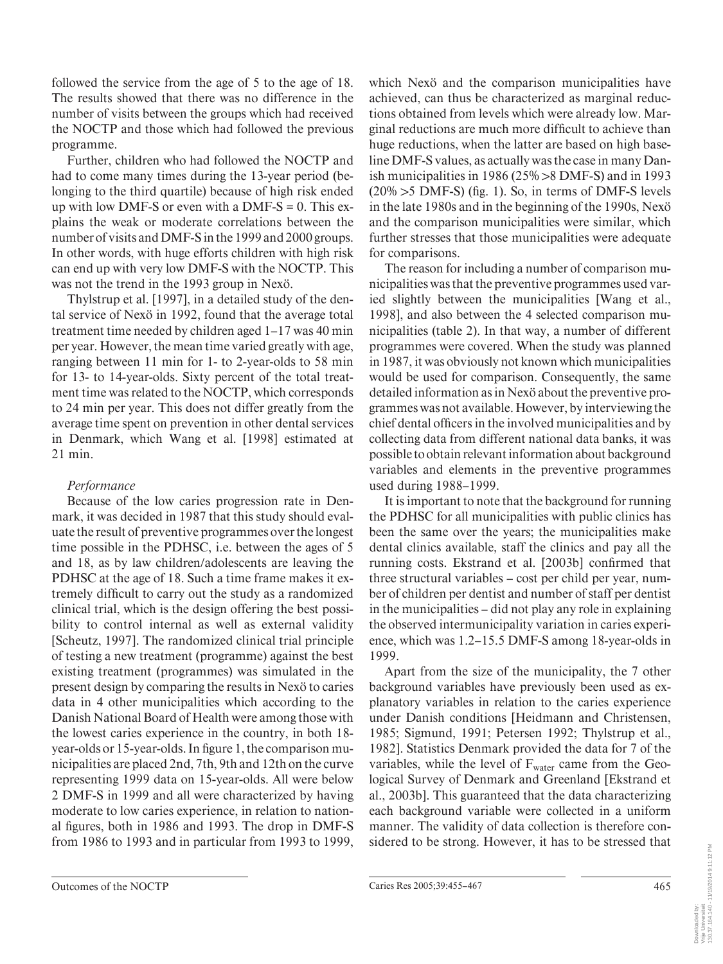followed the service from the age of 5 to the age of 18. The results showed that there was no difference in the number of visits between the groups which had received the NOCTP and those which had followed the previous programme.

Further, children who had followed the NOCTP and had to come many times during the 13-year period (belonging to the third quartile) because of high risk ended up with low DMF-S or even with a DMF-S  $= 0$ . This explains the weak or moderate correlations between the number of visits and DMF-S in the 1999 and 2000 groups. In other words, with huge efforts children with high risk can end up with very low DMF-S with the NOCTP. This was not the trend in the 1993 group in Nexö.

Thylstrup et al. [1997], in a detailed study of the dental service of Nexö in 1992, found that the average total treatment time needed by children aged 1–17 was 40 min per year. However, the mean time varied greatly with age, ranging between 11 min for 1- to 2-year-olds to 58 min for 13- to 14-year-olds. Sixty percent of the total treatment time was related to the NOCTP, which corresponds to 24 min per year. This does not differ greatly from the average time spent on prevention in other dental services in Denmark, which Wang et al. [1998] estimated at 21 min.

# *Performance*

Because of the low caries progression rate in Denmark, it was decided in 1987 that this study should evaluate the result of preventive programmes over the longest time possible in the PDHSC, i.e. between the ages of 5 and 18, as by law children/adolescents are leaving the PDHSC at the age of 18. Such a time frame makes it extremely difficult to carry out the study as a randomized clinical trial, which is the design offering the best possibility to control internal as well as external validity [Scheutz, 1997]. The randomized clinical trial principle of testing a new treatment (programme) against the best existing treatment (programmes) was simulated in the present design by comparing the results in Nexö to caries data in 4 other municipalities which according to the Danish National Board of Health were among those with the lowest caries experience in the country, in both 18 year-olds or 15-year-olds. In figure 1, the comparison municipalities are placed 2nd, 7th, 9th and 12th on the curve representing 1999 data on 15-year-olds. All were below 2 DMF-S in 1999 and all were characterized by having moderate to low caries experience, in relation to national figures, both in 1986 and 1993. The drop in DMF-S from 1986 to 1993 and in particular from 1993 to 1999, which Nexö and the comparison municipalities have achieved, can thus be characterized as marginal reductions obtained from levels which were already low. Marginal reductions are much more difficult to achieve than huge reductions, when the latter are based on high baseline DMF-S values, as actually was the case in many Danish municipalities in 1986 ( $25\%$  > 8 DMF-S) and in 1993  $(20\% > 5 \text{ DMF-S})$  (fig. 1). So, in terms of DMF-S levels in the late 1980s and in the beginning of the 1990s, Nexö and the comparison municipalities were similar, which further stresses that those municipalities were adequate for comparisons.

The reason for including a number of comparison municipalities was that the preventive programmes used varied slightly between the municipalities [Wang et al., 1998], and also between the 4 selected comparison municipalities (table 2). In that way, a number of different programmes were covered. When the study was planned in 1987, it was obviously not known which municipalities would be used for comparison. Consequently, the same detailed information as in Nexö about the preventive programmes was not available. However, by interviewing the chief dental officers in the involved municipalities and by collecting data from different national data banks, it was possible to obtain relevant information about background variables and elements in the preventive programmes used during 1988–1999.

It is important to note that the background for running the PDHSC for all municipalities with public clinics has been the same over the years; the municipalities make dental clinics available, staff the clinics and pay all the running costs. Ekstrand et al. [2003b] confirmed that three structural variables – cost per child per year, number of children per dentist and number of staff per dentist in the municipalities – did not play any role in explaining the observed intermunicipality variation in caries experience, which was 1.2–15.5 DMF-S among 18-year-olds in 1999.

Apart from the size of the municipality, the 7 other background variables have previously been used as explanatory variables in relation to the caries experience under Danish conditions [Heidmann and Christensen, 1985; Sigmund, 1991; Petersen 1992; Thylstrup et al., 1982]. Statistics Denmark provided the data for 7 of the variables, while the level of F<sub>water</sub> came from the Geological Survey of Denmark and Greenland [Ekstrand et al., 2003b]. This guaranteed that the data characterizing each background variable were collected in a uniform manner. The validity of data collection is therefore considered to be strong. However, it has to be stressed that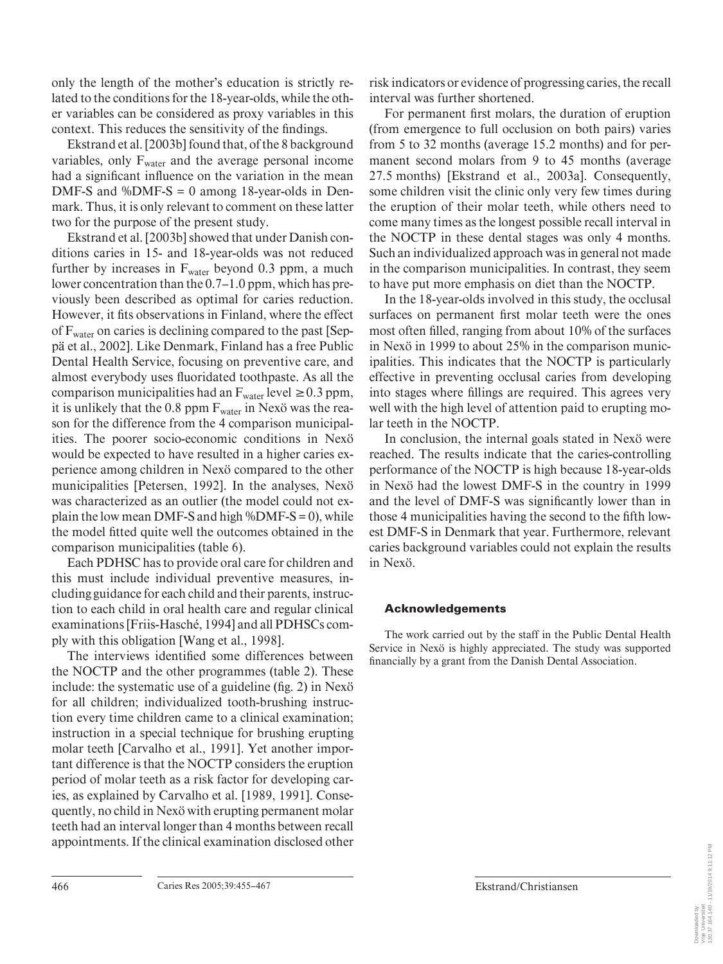only the length of the mother's education is strictly related to the conditions for the 18-year-olds, while the other variables can be considered as proxy variables in this context. This reduces the sensitivity of the findings.

Ekstrand et al. [2003b] found that, of the 8 background variables, only  $F<sub>water</sub>$  and the average personal income had a significant influence on the variation in the mean DMF-S and  $\text{\%DMF-S} = 0$  among 18-year-olds in Denmark. Thus, it is only relevant to comment on these latter two for the purpose of the present study.

Ekstrand et al. [2003b] showed that under Danish conditions caries in 15- and 18-year-olds was not reduced further by increases in  $F<sub>water</sub>$  beyond 0.3 ppm, a much lower concentration than the 0.7–1.0 ppm, which has previously been described as optimal for caries reduction. However, it fits observations in Finland, where the effect of Fwater on caries is declining compared to the past [Seppä et al., 2002]. Like Denmark, Finland has a free Public Dental Health Service, focusing on preventive care, and almost everybody uses fluoridated toothpaste. As all the comparison municipalities had an  $F_{water}$  level  $\geq 0.3$  ppm, it is unlikely that the 0.8 ppm  $F_{\text{water}}$  in Nexö was the reason for the difference from the 4 comparison municipalities. The poorer socio-economic conditions in Nexö would be expected to have resulted in a higher caries experience among children in Nexö compared to the other municipalities [Petersen, 1992]. In the analyses, Nexö was characterized as an outlier (the model could not explain the low mean DMF-S and high  $\%$ DMF-S = 0), while the model fitted quite well the outcomes obtained in the comparison municipalities (table 6).

Each PDHSC has to provide oral care for children and this must include individual preventive measures, including guidance for each child and their parents, instruction to each child in oral health care and regular clinical examinations [Friis-Hasché, 1994] and all PDHSCs comply with this obligation [Wang et al., 1998].

The interviews identified some differences between the NOCTP and the other programmes (table 2). These include: the systematic use of a guideline ( $f$ ig. 2) in Nexö for all children; individualized tooth-brushing instruction every time children came to a clinical examination; instruction in a special technique for brushing erupting molar teeth [Carvalho et al., 1991]. Yet another important difference is that the NOCTP considers the eruption period of molar teeth as a risk factor for developing caries, as explained by Carvalho et al. [1989, 1991]. Consequently, no child in Nexö with erupting permanent molar teeth had an interval longer than 4 months between recall appointments. If the clinical examination disclosed other risk indicators or evidence of progressing caries, the recall interval was further shortened.

For permanent first molars, the duration of eruption (from emergence to full occlusion on both pairs) varies from 5 to 32 months (average 15.2 months) and for permanent second molars from 9 to 45 months (average 27.5 months) [Ekstrand et al., 2003a]. Consequently, some children visit the clinic only very few times during the eruption of their molar teeth, while others need to come many times as the longest possible recall interval in the NOCTP in these dental stages was only 4 months. Such an individualized approach was in general not made in the comparison municipalities. In contrast, they seem to have put more emphasis on diet than the NOCTP.

In the 18-year-olds involved in this study, the occlusal surfaces on permanent first molar teeth were the ones most often filled, ranging from about 10% of the surfaces in Nexö in 1999 to about 25% in the comparison municipalities. This indicates that the NOCTP is particularly effective in preventing occlusal caries from developing into stages where fillings are required. This agrees very well with the high level of attention paid to erupting molar teeth in the NOCTP.

In conclusion, the internal goals stated in Nexö were reached. The results indicate that the caries-controlling performance of the NOCTP is high because 18-year-olds in Nexö had the lowest DMF-S in the country in 1999 and the level of DMF-S was significantly lower than in those 4 municipalities having the second to the fifth lowest DMF-S in Denmark that year. Furthermore, relevant caries background variables could not explain the results in Nexö.

# **Acknowledgements**

The work carried out by the staff in the Public Dental Health Service in Nexö is highly appreciated. The study was supported financially by a grant from the Danish Dental Association.